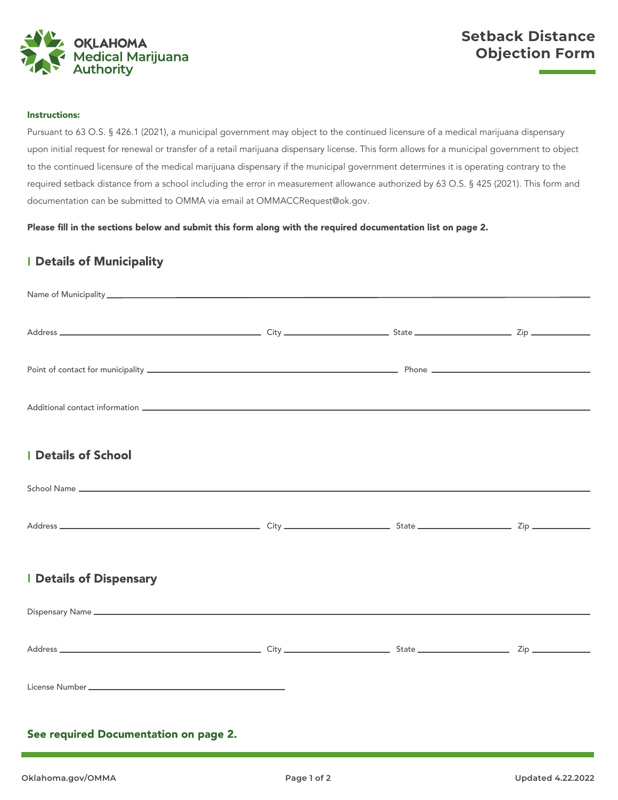

# **Setback Distance Objection Form**

#### Instructions:

Pursuant to 63 O.S. § 426.1 (2021), a municipal government may object to the continued licensure of a medical marijuana dispensary upon initial request for renewal or transfer of a retail marijuana dispensary license. This form allows for a municipal government to object to the continued licensure of the medical marijuana dispensary if the municipal government determines it is operating contrary to the required setback distance from a school including the error in measurement allowance authorized by 63 O.S. § 425 (2021). This form and documentation can be submitted to OMMA via email at OMMACCRequest@ok.gov*.*

Please fill in the sections below and submit this form along with the required documentation list on page 2.

# **I Details of Municipality**

| <b>I</b> Details of School            |  |  |  |
|---------------------------------------|--|--|--|
|                                       |  |  |  |
|                                       |  |  |  |
| <b>I Details of Dispensary</b>        |  |  |  |
|                                       |  |  |  |
|                                       |  |  |  |
|                                       |  |  |  |
| See required Documentation on page 2. |  |  |  |
|                                       |  |  |  |

ŕ